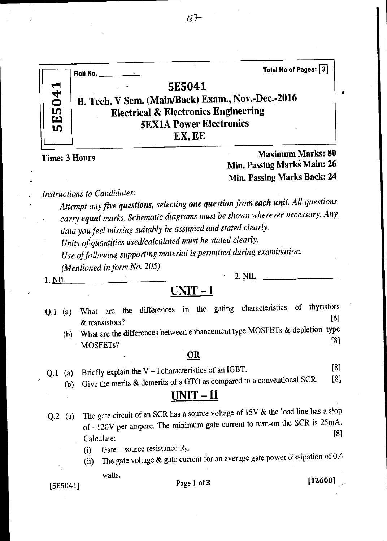

**Time: 3 Hours** *Maximum Marks: 80**Maximum Marks: 80**Maximum Marks: 80* **Min. Passing Marki Main: 26 Min. Passing Marks Back: 24** 

*Instructions to Candidates:* 

*Attempt any five questions, selecting one question from each unit. All questions carry equal marks. Schematic diagrams must be shown wherever necessary. Any data you feel missing suitably be assumed and stated clearly.* 

Units of quantities used/calculated must be stated clearly.

*Use of following supporting material is permitted during examination.* 

*(Mentioned in form No. 205)* 

 $1. NIL$  2.  $NIL$  2.  $NIL$ 

## **UNIT — I**

- Q.1 (a) What are the differences in the gating characteristics of thyristors  $\&$  transistors?
	- $(b)$  What are the differences between enhancement type MOSFETs  $\alpha$  depietion type MOSFETs? [8]

### **OR**

- Briefly explain the V I characteristics of an IGBT. Q.1 (a) [8]
	- Give the merits & demerits of a GTO as compared to a conventional SCR. (b) [8]

## **UNIT —** II

- Q.2 (a) The gate circuit of an SCR has a source voltage of 15V & the load line has a slop of  $-120V$  per ampere. The minimum gate current to turn-on the SCR is  $25mA$ . The gate circuit of an SCR has a source voltage of 15V & the load line has a slop<br>of  $-120V$  per ampere. The minimum gate current to turn-on the SCR is 25mA.<br>Calculate: (i) Gate – source resistance R<sub>S</sub>.
	- (i) Gate source resistance  $R<sub>S</sub>$ .
	- (ii) The gate voltage & gate current for an average gate power dissipation of 0.4

watts.

## [5E5041] Page **1** of **3 [12600]**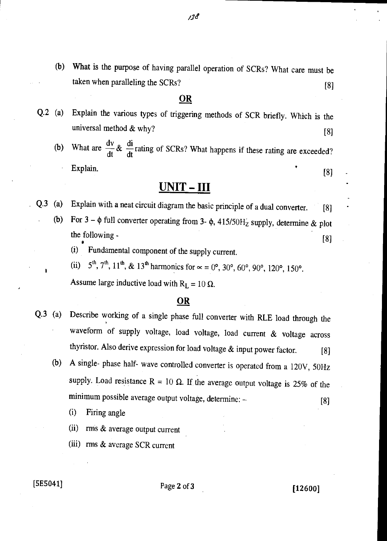(b) What is the purpose of having parallel operation of SCRs? What care must be taken when paralleling the SCRs? [8]

### **OR**

- Q.2 (a) Explain the various types of triggering methods of SCR briefly. Which is the universal method  $\&$  why? [8]
	- (b) What are  $\frac{dv}{dt} \& \frac{di}{dt}$  $\frac{d\mathbf{x}}{dt}$  action of SCRs? What happens if these rating are exceeded? Explain. [8]

## UNIT - III

- Explain with a neat circuit diagram the basic principle of a dual converter. [8] Q.3 (a)
	- For  $3 \phi$  full converter operating from  $3 \phi$ ,  $415/50H<sub>Z</sub>$  supply, determine & plot  $\sum_{n=1}^{\infty}$  (8) (b)
		- (i) Fundamental component of the supply current.

(ii)  $5^{th}$ ,  $7^{th}$ ,  $11^{th}$ , &  $13^{th}$  harmonics for  $\alpha = 0^{\circ}$ ,  $30^{\circ}$ ,  $60^{\circ}$ ,  $90^{\circ}$ ,  $120^{\circ}$ ,  $150^{\circ}$ .

Assume large inductive load with  $R_L = 10 \Omega$ .

### **OR**

- Q.3 (a) Describe working of a single phase full converter with RLE load through the waveform of supply voltage, load voltage, load current & voltage across thyristor. Also derive expression for load voltage  $\&$  input power factor. [8]
	- (b) A single- phase half- wave controlled converter is operated from a 120V, 50Hz supply. Load resistance R = 10  $\Omega$ . If the average output voltage is 25% of the minimum possible average output voltage, determine: -

(i) Firing angle

- (ii) rms & average output current
- (iii) rms & average SCR current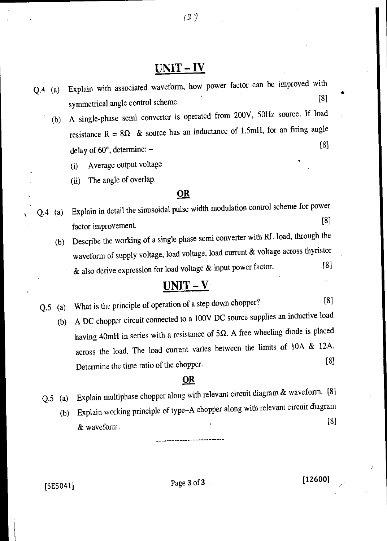## $UNIT - IV$

 $139$ 

- Q.4 (a) Explain with associated waveform, how power factor can be improved with symmetrical angle control scheme. [8]
	- (b) A single-phase semi converter is operated from 200V, 50Hz source. If load resistance R =  $8\Omega$  & source has an inductance of 1.5mH, for an firing angle delay of  $60^{\circ}$ , determine:  $-$  [8]
		- (i) Average output voltage •
		- (ii) The angle of overlap.

### **OR**

- Q.4 (a) Explain in detail the sinusoidal pulse width modulation control scheme for power factor improvement. [8]
	- (b) Describe the working of a single phase semi converter with RL load, through the waveform of supply voltage, load voltage, load current & voltage across thyristor & also derive expression for load voltage & input power factor. [8]

## $UNIT - V$

- Q.5 (a) What is the principle of operation of a step down chopper? [8]
	- (b) A DC chopper circuit connected to a 100V DC source supplies an inductive load having 40mH in series with a resistance of 5 $\Omega$ . A free wheeling diode is placed across the load. The load current varies between the limits of 10A & 12A. Determine the time ratio of the chopper. [8]

### **OR**

- Q.5 (a) Explain multiphase chopper along with relevant circuit diagram & waveform. [8]
	- (b) Explain working principle of type—A chopper along with relevant circuit diagram & waveform. [8]

[5E5041] Page 3 of 3 [12600]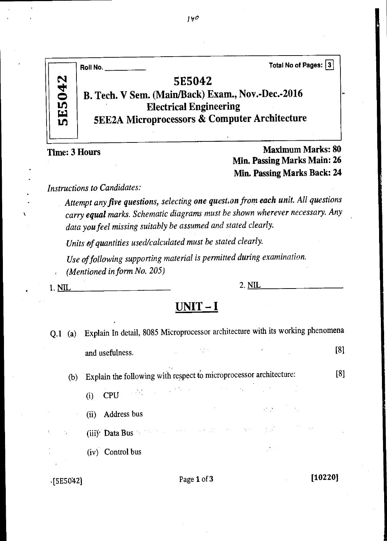|               | Roll No.                                                                                                                                                        | Total No of Pages: 3 |
|---------------|-----------------------------------------------------------------------------------------------------------------------------------------------------------------|----------------------|
| <b>5E5042</b> | <b>5E5042</b><br>B. Tech. V Sem. (Main/Back) Exam., Nov.-Dec.-2016<br><b>Electrical Engineering</b><br><b>5EE2A Microprocessors &amp; Computer Architecture</b> |                      |

**Time: 3 Hours** *Maximum Marks: 80**Maximum Marks: 80* **Min. Passing Marks Main: 26 Min. Passing Marks Back: 24** 

*Instructions to Candidates:* 

Attempt any five questions, selecting one question from each unit. All questions *carry equal marks. Schematic diagrams must be shown wherever necessary. Any data you feel missing suitably be assumed and stated clearly.* 

Units of quantities used/calculated must be stated clearly.

*Use of following supporting material is permitted during examination. (Mentioned in form No. 205)* 

1. NIL 2. NIL

# **UNIT — I**

| $Q.1$ (a) |                                                                                                                                                                                                                                                                                                                                                                                                                                                                                                   |  |                                                                                                                                                                                                                                                                                                                                                                                                                                                                                                                                                                                                       |
|-----------|---------------------------------------------------------------------------------------------------------------------------------------------------------------------------------------------------------------------------------------------------------------------------------------------------------------------------------------------------------------------------------------------------------------------------------------------------------------------------------------------------|--|-------------------------------------------------------------------------------------------------------------------------------------------------------------------------------------------------------------------------------------------------------------------------------------------------------------------------------------------------------------------------------------------------------------------------------------------------------------------------------------------------------------------------------------------------------------------------------------------------------|
|           | $\label{eq:2.1} \mathcal{L}(\mathcal{L}(\mathcal{L})) = \mathcal{L}(\mathcal{L}(\mathcal{L})) = \mathcal{L}(\mathcal{L}(\mathcal{L})) = \mathcal{L}(\mathcal{L}(\mathcal{L})) = \mathcal{L}(\mathcal{L}(\mathcal{L})) = \mathcal{L}(\mathcal{L}(\mathcal{L})) = \mathcal{L}(\mathcal{L}(\mathcal{L})) = \mathcal{L}(\mathcal{L}(\mathcal{L})) = \mathcal{L}(\mathcal{L}(\mathcal{L})) = \mathcal{L}(\mathcal{L}(\mathcal{L})) = \mathcal{L}(\mathcal{L}(\mathcal{L})) = \math$<br>and usefulness. |  | [8]                                                                                                                                                                                                                                                                                                                                                                                                                                                                                                                                                                                                   |
|           |                                                                                                                                                                                                                                                                                                                                                                                                                                                                                                   |  | [8]                                                                                                                                                                                                                                                                                                                                                                                                                                                                                                                                                                                                   |
|           |                                                                                                                                                                                                                                                                                                                                                                                                                                                                                                   |  |                                                                                                                                                                                                                                                                                                                                                                                                                                                                                                                                                                                                       |
|           | (ii) Address bus                                                                                                                                                                                                                                                                                                                                                                                                                                                                                  |  |                                                                                                                                                                                                                                                                                                                                                                                                                                                                                                                                                                                                       |
|           |                                                                                                                                                                                                                                                                                                                                                                                                                                                                                                   |  |                                                                                                                                                                                                                                                                                                                                                                                                                                                                                                                                                                                                       |
|           | (iv) Control bus                                                                                                                                                                                                                                                                                                                                                                                                                                                                                  |  |                                                                                                                                                                                                                                                                                                                                                                                                                                                                                                                                                                                                       |
|           |                                                                                                                                                                                                                                                                                                                                                                                                                                                                                                   |  | Explain In detail, 8085 Microprocessor architecture with its working phenomena<br>(b) Explain the following with respect to microprocessor architecture:<br>(i) $CPU$<br>$\label{eq:2.1} \mathcal{L}(\mathcal{A}) = \mathcal{L}(\mathcal{A}) = \mathcal{L}(\mathcal{A}) = \mathcal{L}(\mathcal{A}) = \mathcal{L}(\mathcal{A}) = \mathcal{L}(\mathcal{A})$<br>(iii) <sup>.</sup> Data Bus the first control of the control of the control of the control of the control of the control of the control of the control of the control of the control of the control of the control of the control of the |

 $[5E5042]$  Page 1 of 3 [10220]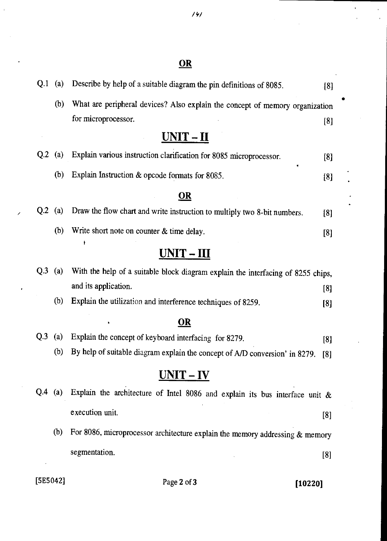| Q <sub>1</sub> | (a) | Describe by help of a suitable diagram the pin definitions of 8085.              | [8]      |
|----------------|-----|----------------------------------------------------------------------------------|----------|
|                | (b) | What are peripheral devices? Also explain the concept of memory organization     |          |
|                |     | for microprocessor.                                                              | [8]      |
|                |     | $UNIT - II$                                                                      |          |
| Q.2            | (a) | Explain various instruction clarification for 8085 microprocessor.               | [8]      |
|                | (b) | ٠<br>Explain Instruction & opcode formats for 8085.                              | [8]      |
|                |     | <u>OR</u>                                                                        |          |
| Q <sub>2</sub> | (a) | Draw the flow chart and write instruction to multiply two 8-bit numbers.         | [8]      |
|                | (b) | Write short note on counter & time delay.                                        | [8]      |
|                |     | ł<br>$UNIT - III$                                                                |          |
| Q.3            | (a) | With the help of a suitable block diagram explain the interfacing of 8255 chips, |          |
|                |     | and its application.                                                             | [8]      |
|                | (b) | Explain the utilization and interference techniques of 8259.                     | [8]      |
|                |     | <b>OR</b>                                                                        |          |
| Q <sub>3</sub> | (a) | Explain the concept of keyboard interfacing for 8279.                            | [8]      |
|                | (b) | By help of suitable diagram explain the concept of A/D conversion' in 8279.      | [8]      |
|                |     | $UNIT - IV$                                                                      |          |
| Q.4            | (a) | Explain the architecture of Intel 8086 and explain its bus interface unit $\&$   |          |
|                |     | execution unit.                                                                  | [8]      |
|                | (b) | For 8086, microprocessor architecture explain the memory addressing $\&$ memory  |          |
|                |     | segmentation.                                                                    | $^{[8]}$ |

 $\overline{1}$ 

Í

# [5E5042] Page **2 of 3 [10220]**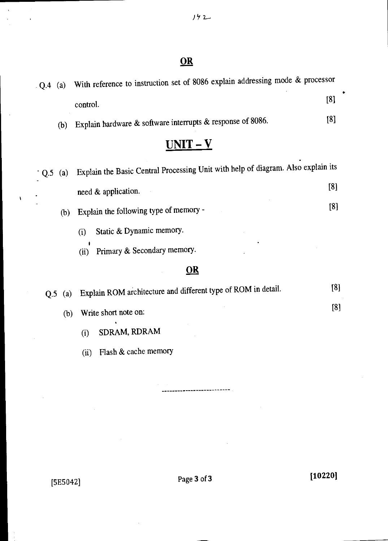| (a)       | With reference to instruction set of 8086 explain addressing mode $\alpha$ processor |            |
|-----------|--------------------------------------------------------------------------------------|------------|
|           | control.                                                                             | [8]        |
| (b)       | Explain hardware & software interrupts & response of 8086.                           | [8]        |
|           | $UNIT - V$                                                                           |            |
| $Q.5$ (a) | Explain the Basic Central Processing Unit with help of diagram. Also explain its     |            |
|           | need & application.                                                                  | [8]        |
| (b)       | Explain the following type of memory -                                               | [8]        |
|           | Static & Dynamic memory.<br>(i)                                                      |            |
|           | Primary & Secondary memory.<br>(ii)                                                  |            |
|           | <u>OR</u>                                                                            |            |
| Q.5       | Explain ROM architecture and different type of ROM in detail.                        | [8]        |
|           | Write short note on:                                                                 | [8]        |
|           |                                                                                      | (a)<br>(b) |

- (i) SDRAM, RDRAM
- (ii) Hash & cache memory

[5E5042] Page 3 of 3 [10220]

 $\bar{\rm t}$ 

 $\overline{\mathbf{r}}$ 

------------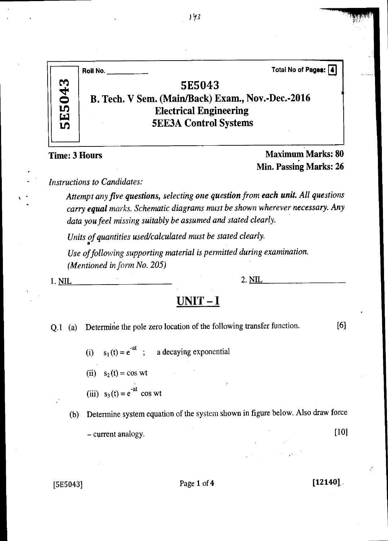|            | Total No of Pages: [4]<br>Roll No.                                                                                           |  |
|------------|------------------------------------------------------------------------------------------------------------------------------|--|
| E5043<br>ທ | 5E5043<br>B. Tech. V Sem. (Main/Back) Exam., Nov.-Dec.-2016<br><b>Electrical Engineering</b><br><b>5EE3A Control Systems</b> |  |

**Time: 3 Hours Maximum Marks: 80 Min. Passing Marks: 26** 

*Instructions to Candidates:* 

Attempt any five questions, selecting one question from each unit. All questions *carry equal marks. Schematic diagrams must be shown wherever necessary. Any data you feel missing suitably be assumed and stated clearly.* 

*Units of quantities used/calculated must be stated clearly.* 

*Use of following supporting material is permitted during examination. (Mentioned in form No. 205)* 

1. <u>NIL 2. NIL</u>

## **UNIT - I**

Q.1 (a) Determine the pole zero location of the following transfer function. [6]

- (i)  $s_1(t) = e^{-at}$ ; a decaying exponential
- (ii)  $s_2(t) = \cos wt$
- (iii)  $s_3(t) = e^{-at} \cos wt$
- (b) Determine system equation of the system shown in figure below. Also draw force — current analogy. [10]

### [5E5043] Page **1** of **4 [12140],.**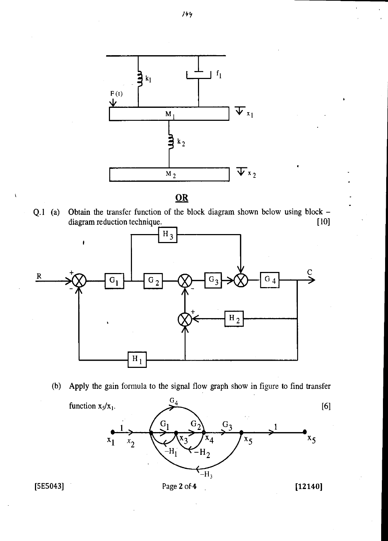

Q.1 (a) Obtain the transfer function of the block diagram shown below using block -<br>diagram reduction technique. [10] diagram reduction technique.



(b) Apply the gain formula to the signal flow graph show in figure to find transfer



 $\pmb{\backslash}$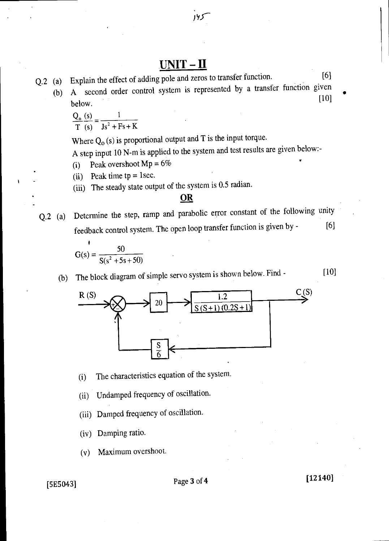## UNIT - II

Q.2 (a) Explain the effect of adding pole and zeros to transfer function. [6] (b) A second order control system is represented by a transfer function given below.  $[10]$  $\Omega$  (s) 1

$$
\frac{Q_0}{T}\frac{(s)}{(s)} = \frac{1}{Js^2 + Fs + K}
$$

Where  $Q_0$  (s) is proportional output and T is the input torque.

A step input 10 N-m is applied to the system and test results are given below:-

- (i) Peak overshoot  $Mp = 6\%$
- (ii) Peak time  $tp = 1$ sec.
- (iii) The steady state output of the system is 0.5 radian.

### **OR**

Q.2 (a) Determine the step, ramp and parabolic error constant of the following unity feedback control system. The open loop transfer function is given by - [6]

$$
G(s) = \frac{50}{S(s^2 + 5s + 50)}
$$

(b) The block diagram of simple servo system is shown below. Find - [10]



(i) The characteristics equation of the system.

(ii) Undamped frequency of oscillation.

(iii) Damped frequency of oscillation.

(iv) Damping ratio.

(v) Maximum overshoot.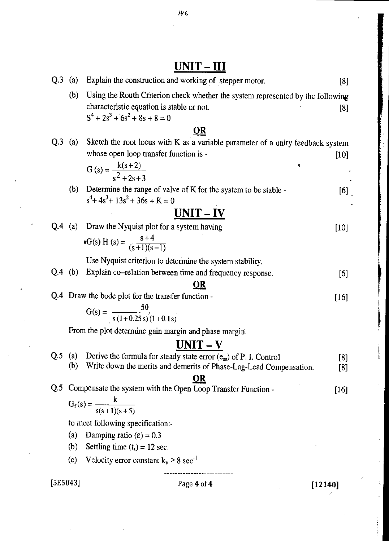# $UNIT - III$ </u>

| (b)<br>characteristic equation is stable or not.<br>$S^4 + 2s^3 + 6s^2 + 8s + 8 = 0$<br>OR<br>Q.3<br>(a)<br>Sketch the root locus with K as a variable parameter of a unity feedback system<br>whose open loop transfer function is - | Using the Routh Criterion check whether the system represented by the following<br>[8] |
|---------------------------------------------------------------------------------------------------------------------------------------------------------------------------------------------------------------------------------------|----------------------------------------------------------------------------------------|
|                                                                                                                                                                                                                                       |                                                                                        |
|                                                                                                                                                                                                                                       |                                                                                        |
|                                                                                                                                                                                                                                       |                                                                                        |
|                                                                                                                                                                                                                                       |                                                                                        |
|                                                                                                                                                                                                                                       |                                                                                        |
|                                                                                                                                                                                                                                       | $[10]$                                                                                 |
| G (s) = $\frac{k(s+2)}{s^2+2s+3}$                                                                                                                                                                                                     |                                                                                        |
|                                                                                                                                                                                                                                       |                                                                                        |
| (b)<br>Determine the range of valve of K for the system to be stable -                                                                                                                                                                | [6]                                                                                    |
| $s^4$ + 4s <sup>3</sup> + 13s <sup>2</sup> + 36s + K = 0                                                                                                                                                                              |                                                                                        |
| $UNIT - IV$                                                                                                                                                                                                                           |                                                                                        |
| $Q.4$ (a)<br>Draw the Nyquist plot for a system having                                                                                                                                                                                | $[10]$                                                                                 |
| G(s) H (s) = $\frac{s+4}{(s+1)(s-1)}$                                                                                                                                                                                                 |                                                                                        |
|                                                                                                                                                                                                                                       |                                                                                        |
| Use Nyquist criterion to determine the system stability.                                                                                                                                                                              |                                                                                        |
| $Q.4$ (b)<br>Explain co-relation between time and frequency response.                                                                                                                                                                 | [6]                                                                                    |
| <u>OR</u>                                                                                                                                                                                                                             |                                                                                        |
| Q.4 Draw the bode plot for the transfer function -                                                                                                                                                                                    | $[16]$                                                                                 |
| $G(s) = \frac{50}{s(1+0.25s)(1+0.1s)}$                                                                                                                                                                                                |                                                                                        |
| From the plot determine gain margin and phase margin.                                                                                                                                                                                 |                                                                                        |
| $UNIT - V$                                                                                                                                                                                                                            |                                                                                        |
| Q.5<br>(a) Derive the formula for steady state error $(e_{ss})$ of P. I. Control                                                                                                                                                      | [8]                                                                                    |
| (b)<br>Write down the merits and demerits of Phase-Lag-Lead Compensation.                                                                                                                                                             | [8]                                                                                    |
| <u>OR</u>                                                                                                                                                                                                                             |                                                                                        |
| Compensate the system with the Open Loop Transfer Function -<br>Q <sub>.5</sub>                                                                                                                                                       | $[16]$                                                                                 |
| $G_f(s) = \frac{k}{s(s+1)(s+5)}$                                                                                                                                                                                                      |                                                                                        |
| to meet following specification:-                                                                                                                                                                                                     |                                                                                        |
|                                                                                                                                                                                                                                       |                                                                                        |
| (a)                                                                                                                                                                                                                                   |                                                                                        |
| Damping ratio $(\epsilon) = 0.3$<br>Settling time $(t_s) = 12$ sec.<br>(b)                                                                                                                                                            |                                                                                        |
| Velocity error constant $k_v \ge 8 \text{ sec}^{-1}$<br>(c)                                                                                                                                                                           |                                                                                        |

ü

194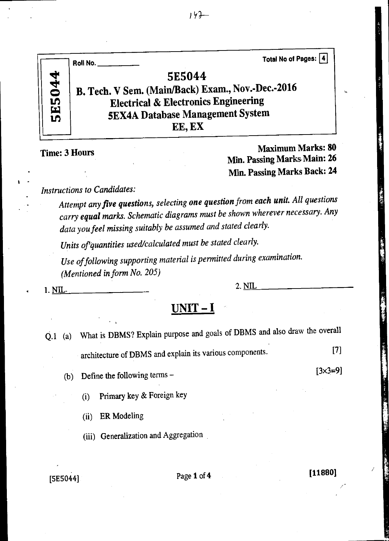

**Time: 3 Hours** *Maximum Marks: 80**Maximum Marks: 80**Maximum Marks: 80**Maximum Marks: 80**Maximum Marks: 80**Maximum Marks: 80**Maximum Marks: 80**Maximum Marks: 80**Maximum Marks: 80**Maximum Marks: 80**Maxi* **MM. Passing Marks Main: 26 Min. Passing Marks Back: 24** 

*Instructions to Candidates:* 

*Attempt any five questions, selecting one question from each unit. All questions carry equal marks. Schematic diagrams must be shown wherever necessary. Any data you feel missing suitably be assumed and stated clearly.* 

Units of quantities used/calculated must be stated clearly.

*Use of following supporting material is permitted during examination. (Mentioned in form No. 205)* 

**1. NIL.** 2. NIL

## **UNIT - I**

- Q.1 (a) What is DBMS? Explain purpose and goals of DBMS and also draw the overall architecture of DBMS and explain its various components. [7]
	- (b) Define the following terms
		- (i) Primary key & Foreign key

(ii) ER Modeling

(iii) Generalization and Aggregation

## [5E5044] Page **1** of **4 [11880]**

[3x3=9]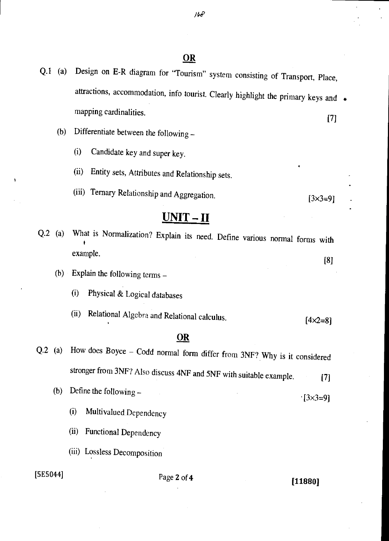- Q.1 (a) Design on E-R diagram for "Tourism" system consisting of Transport, Place, attractions, accommodation, info tourist. Clearly highlight the primary keys and • mapping cardinalities. 171
	- (b) Differentiate between the following
		- (i) Candidate key and super key.
		- (ii) Entity sets, Attributes and Relationship sets.
		- (iii) Ternary Relationship and Aggregation.  $[3 \times 3 = 9]$

## **UNIT-II**

- Q.2 (a) What is Normalization? Explain its need. Define various normal forms with example. [8]
	- (b) Explain the following terms
		- (i) Physical & Logical databases
		- (ii) Relational Algebra and Relational calculus.  $[4 \times 2 = 8]$

### **OR**

- Q.2 (a) How does Boyce Codd normal form differ from 3NF? Why is it considered stronger from 3NF? Also discuss 4NF and 5NF with suitable example. [7]
	- (b) Define the following  $[3 \times 3 = 9]$ 
		- (i) Multivalued Dependency
		- (ii) Functional Dependency
		- (iii) Lossless Decomposition

## [5E5044] Page **2** of **4 [11880]**

*IPP*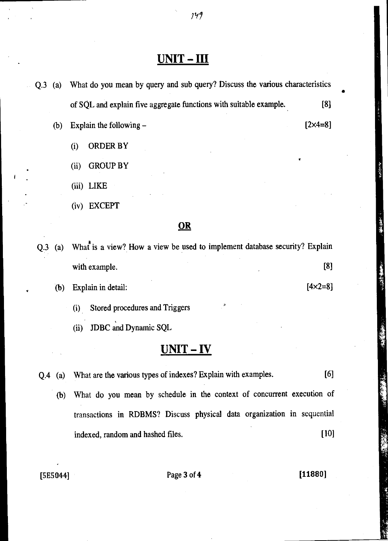## **UNIT - III**

- Q.3 (a) What do you mean by query and sub query? Discuss the various characteristics of SQL and explain five aggregate functions with suitable example. (b) Explain the following — [8] [2x4=8]
	- (i) ORDER BY
	- (ii) GROUP BY
	- (iii) LIKE
	- (iv) EXCEPT

### **OR**

Q.3 (a) What is a view? How a view be used to implement database security? Explain with example. [8]

(b) Explain in detail:  $[4 \times 2 = 8]$ 

- (i) Stored procedures and Triggers
- JDBC and Dynamic SQL  $(ii)$

## **UNIT - IV**

- Q.4 (a) What are the various types of indexes? Explain with examples. [6]
	- (b) What do you mean by schedule in the context of concurrent execution of transactions in RDBMS? Discuss physical data organization in sequential indexed, random and hashed files. [10]

[5E5044] Page 3 of 4 [11880]

*79 1*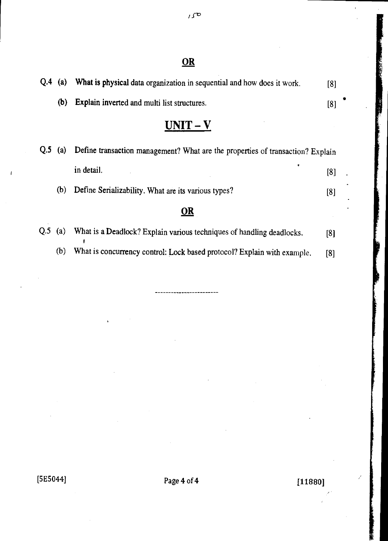$I\subset$ 

## OR

| Q.4            | (a) | What is physical data organization in sequential and how does it work.         | [8] |  |
|----------------|-----|--------------------------------------------------------------------------------|-----|--|
|                | (b) | Explain inverted and multi list structures.                                    | [8] |  |
|                |     | $UNIT - V$                                                                     |     |  |
| Q.5            | (a) | Define transaction management? What are the properties of transaction? Explain |     |  |
|                |     | ٠<br>in detail.                                                                | [8] |  |
|                | (b) | Define Serializability. What are its various types?                            | [8] |  |
|                |     | <u>OR</u>                                                                      |     |  |
| Q <sub>5</sub> | (a) | What is a Deadlock? Explain various techniques of handling deadlocks.          | [8] |  |

• (b) What is concurrency control: Lock based protocol? Explain with example. [8]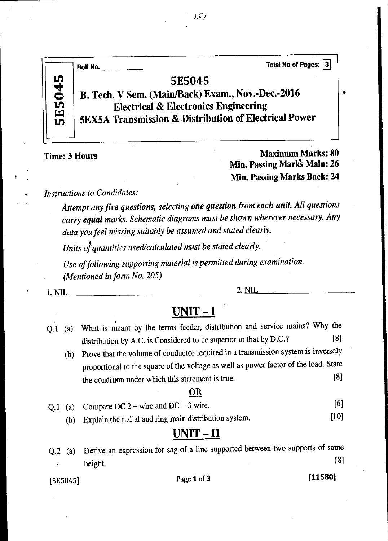|                                           | Total No of Pages: 3<br>Roll No.                                                                                                                                                          |
|-------------------------------------------|-------------------------------------------------------------------------------------------------------------------------------------------------------------------------------------------|
| 045<br>$\overline{\mathbf{D}}$<br>្ត<br>ស | <b>5E5045</b><br>B. Tech. V Sem. (Main/Back) Exam., Nov.-Dec.-2016<br><b>Electrical &amp; Electronics Engineering</b><br><b>5EX5A Transmission &amp; Distribution of Electrical Power</b> |

Time: 3 Hours Maximum Marks: 80 Min. Passing Mark's Main: 26 Min. Passing Marks Back: 24

*Instructions to Candidates:* 

*Attempt any five questions, selecting one question from each unit. All questions carry equal marks. Schematic diagrams must be shown wherever necessary. Any data you feel missing suitably be assumed and stated clearly.* 

*Units of quantities used/calculated must be stated clearly.* 

*Use of following supporting material is permitted during examination. (Mentioned in form No. 205)* 

 $1. NIL$  2.  $NIL$  2.

## **UNIT -1**

- Q.1 (a) What is meant by the terms feeder, distribution and service mains? Why the distribution by A.C. is Considered to be superior to that by D.C.? [8]
	- (b) Prove that the volume of conductor required in a transmission system is inversely proportional to the square of the voltage as well as power factor of the load. State the condition under which this statement is true. [8]

### OR

- Q.1 (a) Compare DC  $2$  wire and DC 3 wire. [6]
	- (b) Explain the radial and ring main distribution system. [10]

## **UNIT - II**

Q.2 (a) Derive an expression for sag of a line supported between two supports of same height. [8]

[5E5045] Page **1** of **3 [11580]**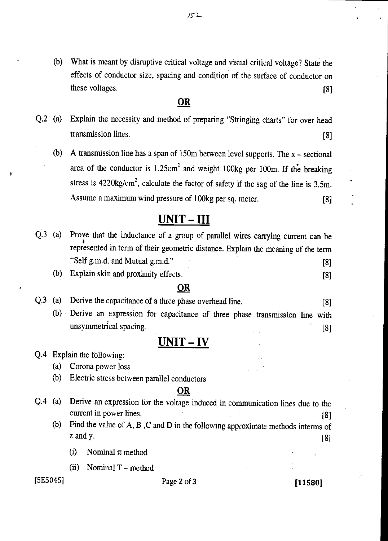(b) What is meant by disruptive critical voltage and visual critical voltage? State the effects of conductor size, spacing and condition of the surface of conductor on what is meant by distiplive efficial voltage and visual efficition voltage? State the effects of conductor size, spacing and condition of the surface of conductor on these voltages. [8]

### **OR**

- Q.2 (a) Explain the necessity and method of preparing "Stringing charts" for over head transmission lines. [8]
	- (b) A transmission line has a span of 150m between level supports. The x sectional area of the conductor is  $1.25 \text{cm}^2$  and weight 100kg per 100m. If the breaking stress is  $4220\text{kg/cm}^2$ , calculate the factor of safety if the sag of the line is 3.5m. Assume a maximum wind pressure of 100kg per sq. meter. [8]

## UNIT - III

- Q.3 (a) Prove that the inductance of a group of parallel wires carrying current can be represented in term of their geometric distance. Explain the meaning of the term "Self g.m.d. and Mutual g.m.d." [8]
	- (b) Explain skin and proximity effects. [8]

### **OR**

- Q.3 (a) Derive the capacitance of a three phase overhead line. [8]
	- (b) Derive an expression for capacitance of three phase transmission line with unsymmetrical spacing. (8)

## UNIT - IV

### Q.4 Explain the following:

(a) Corona power loss

(b) Electric stress between parallel conductors

### **OR**

- Q.4 (a) Derive an expression for the voltage induced in communication lines due to the current in power lines. [8]
	- (b) Find the value of A, B ,C and D in the following approximate methods interns of z and y.  $[8]$ 
		- (i) Nominal  $\pi$  method
		- (ii) Nominal T method

### $[5E5045]$  Page 2 of 3 [11580]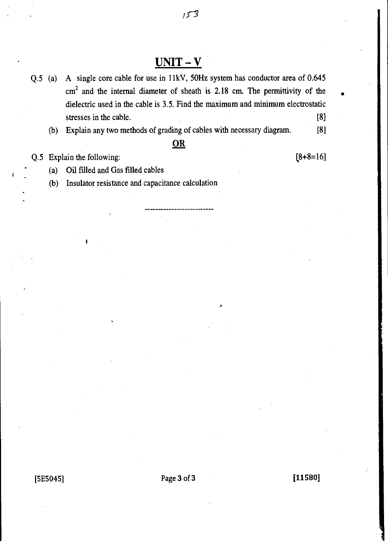## **UNIT - V**

 $153$ 

- Q.5 (a) A single core cable for use in 11kV, 50Hz system has conductor area of 0.645  $cm<sup>2</sup>$  and the internal diameter of sheath is 2.18 cm. The permittivity of the dielectric used in the cable is 3.5. Find the maximum and minimum electrostatic stresses in the cable. [8]
	- (b) Explain any two methods of grading of cables with necessary diagram. [8]

### **OR**

Q.5 Explain the following:

 $[8+8=16]$ 

• (a) Oil filled and Gas filled cables

(b) Insulator resistance and capacitance calculation

[5E5045] Page **3** of **3 [11580]**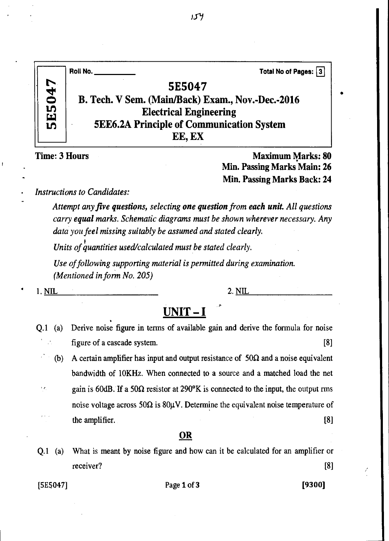|               | Total No of Pages: 3<br>Roll No.                  |
|---------------|---------------------------------------------------|
| <b>5E5047</b> | 5E5047                                            |
|               | B. Tech. V Sem. (Main/Back) Exam., Nov.-Dec.-2016 |
|               | <b>Electrical Engineering</b>                     |
|               | <b>5EE6.2A Principle of Communication System</b>  |
|               | EE, EX                                            |

**Time: 3 Hours Maximum Marks: 80 Min. Passing Marks Main: 26 Min. Passing Marks Back: 24** 

*Instructions to Candidates:* 

*Attempt any five questions, selecting one question from each unit All questions carry equal marks. Schematic diagrams must be shown wherever necessary. Any data you feel missing suitably be assumed and stated clearly.* 

*Units of quantities used/calculated must be stated clearly.* 

*Use of following supporting material is permitted during examination. (Mentioned in form No. 205)* 

 $\blacksquare$  1. NIL 2. NIL 2. NIL

## **UNIT — I**

- Q.1 (a) Derive noise figure in terms of available gain and derive the formula for noise figure of a cascade system. [8]
	- (b) A certain amplifier has input and output resistance of  $50\Omega$  and a noise equivalent bandwidth of 10KHz. When connected to a source and a matched load the net  $\epsilon$ gain is 60dB. If a 50 $\Omega$  resistor at 290 $\rm{°K}$  is connected to the input, the output rms noise voltage across 50 $\Omega$  is 80 $\mu$ V. Determine the equivalent noise temperature of the amplifier. [8] noise voltage across 50 $\Omega$  is 80 $\mu$ V. Determine the equivalent noise temperature of

### **OR**

Q.1 (a) What is meant by noise figure and how can it be calculated for an amplifier or receiver? [8]

[5E5047] Page 1 of 3 [9300]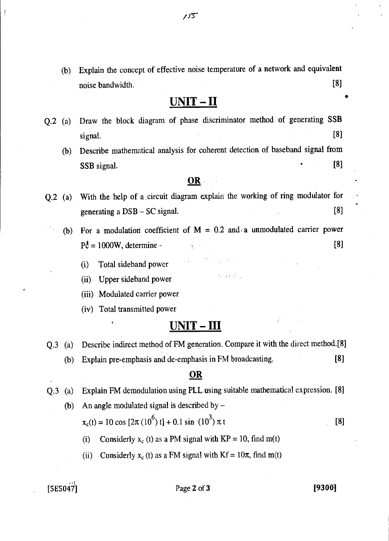(b) Explain the concept of effective noise temperature of a network and equivalent

noise bandwidth. [8]

## **UNIT - II**

- Q.2 (a) Draw the block diagram of phase discriminator method of generating SSB signal. [8]
	- (b) Describe mathematical analysis for coherent detection of baseband signal from  $SSB$  signal.  $[8]$

### OR

- Q.2 (a) With the help of a circuit diagram explain the working of ring modulator for generating a  $DSB - SC$  signal.  $[8]$ 
	- (b) For a modulation coefficient of  $M = 0.2$  and a unmodulated carrier power  $P_c^{\dagger} = 1000W$ , determine - [8]

 $\mathcal{L} = \mathcal{L} \left( \mathcal{L}_{\mathcal{M}} \right)$  .

- (i) Total sideband power
- (ii) Upper sideband power
- (iii) Modulated carrier power
- (iv) Total transmitted power

## **UNIT-III**

Q.3 (a) Describe indirect method of FM generation. Compare it with the direct method.[8] (b) Explain pre-emphasis and de-emphasis in FM broadcasting. [8]

### OR

- Q.3 (a) Explain FM demodulation using PLL using suitable mathematical expression. [8]
	- (b) An angle modulated signal is described by  $x_c(t) = 10 \cos [2\pi (10^6) t] + 0.1 \sin (10^3) \pi t$  [8]
		- (i) Considerly  $x_c$  (t) as a PM signal with  $KP = 10$ , find m(t)
		- (ii) Considerly  $x_c(t)$  as a FM signal with  $Kf = 10\pi$ , find m(t)

 $[5E5047]$  Page 2 of 3 [9300]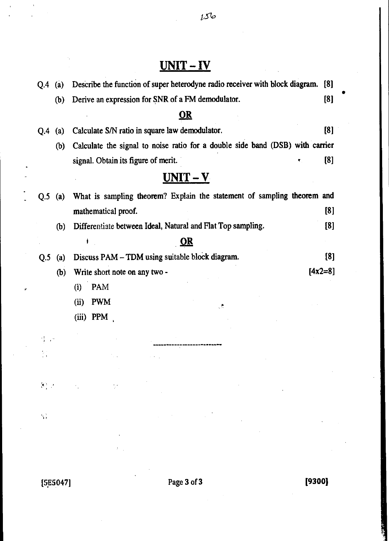# **UNIT -** IV

| O.4                               | (a)               | Describe the function of super heterodyne radio receiver with block diagram. [8]                                                                                                                                                                                                                                                                                                                                                 |     |
|-----------------------------------|-------------------|----------------------------------------------------------------------------------------------------------------------------------------------------------------------------------------------------------------------------------------------------------------------------------------------------------------------------------------------------------------------------------------------------------------------------------|-----|
|                                   | (b)               | Derive an expression for SNR of a FM demodulator.<br>[8]                                                                                                                                                                                                                                                                                                                                                                         |     |
|                                   |                   | OR                                                                                                                                                                                                                                                                                                                                                                                                                               |     |
| O.4                               | $\left( a\right)$ | [8]<br>Calculate S/N ratio in square law demodulator.                                                                                                                                                                                                                                                                                                                                                                            |     |
|                                   | (b)               | Calculate the signal to noise ratio for a double side band (DSB) with carrier                                                                                                                                                                                                                                                                                                                                                    |     |
|                                   |                   | [8]<br>signal. Obtain its figure of merit.                                                                                                                                                                                                                                                                                                                                                                                       |     |
|                                   |                   | $UNIT - V$                                                                                                                                                                                                                                                                                                                                                                                                                       |     |
| Q.5                               | (a)               | What is sampling theorem? Explain the statement of sampling theorem and                                                                                                                                                                                                                                                                                                                                                          |     |
|                                   |                   | mathematical proof.                                                                                                                                                                                                                                                                                                                                                                                                              | [8] |
|                                   | (b)               | Differentiate between Ideal, Natural and Flat Top sampling.                                                                                                                                                                                                                                                                                                                                                                      | [8] |
|                                   |                   | <u>OR</u>                                                                                                                                                                                                                                                                                                                                                                                                                        |     |
| Q.5                               | (a)               | Discuss PAM - TDM using suitable block diagram.                                                                                                                                                                                                                                                                                                                                                                                  | [8] |
|                                   | (b)               | $[4x2=8]$<br>Write short note on any two -                                                                                                                                                                                                                                                                                                                                                                                       |     |
|                                   |                   | <b>PAM</b><br>(i)                                                                                                                                                                                                                                                                                                                                                                                                                |     |
|                                   |                   | <b>PWM</b><br>(ii)<br>٨                                                                                                                                                                                                                                                                                                                                                                                                          |     |
|                                   |                   | (iii) PPM                                                                                                                                                                                                                                                                                                                                                                                                                        |     |
|                                   |                   |                                                                                                                                                                                                                                                                                                                                                                                                                                  |     |
|                                   |                   |                                                                                                                                                                                                                                                                                                                                                                                                                                  |     |
|                                   |                   |                                                                                                                                                                                                                                                                                                                                                                                                                                  |     |
|                                   |                   | $\mathcal{R}^{\mathcal{L}}_{\mathcal{L}}(t) = \mathcal{R}^{\mathcal{L}}_{\mathcal{L}}(t) = \mathcal{R}^{\mathcal{L}}_{\mathcal{L}}(t) = \mathcal{R}^{\mathcal{L}}_{\mathcal{L}}(t) = \mathcal{R}^{\mathcal{L}}_{\mathcal{L}}(t) = \mathcal{R}^{\mathcal{L}}_{\mathcal{L}}(t) = \mathcal{R}^{\mathcal{L}}_{\mathcal{L}}(t) = \mathcal{R}^{\mathcal{L}}_{\mathcal{L}}(t) = \mathcal{R}^{\mathcal{L}}_{\mathcal{L}}(t) = \mathcal{$ |     |
|                                   |                   |                                                                                                                                                                                                                                                                                                                                                                                                                                  |     |
| $\mathcal{G}^{\pm}_{\mathcal{G}}$ |                   | $\mathcal{L}_{\text{max}}$ and $\mathcal{L}_{\text{max}}$                                                                                                                                                                                                                                                                                                                                                                        |     |

ÿ

•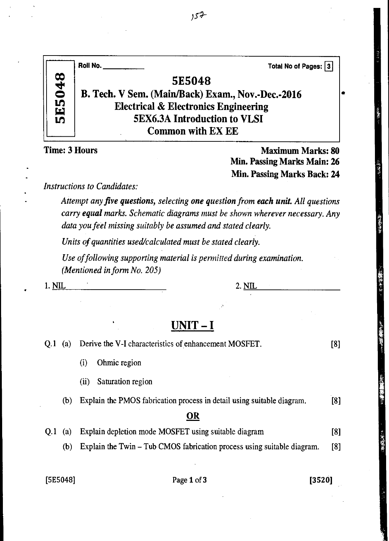|               |     | Roll No.<br>Total No of Pages: 3                                                                                                                                                                                                 |     |
|---------------|-----|----------------------------------------------------------------------------------------------------------------------------------------------------------------------------------------------------------------------------------|-----|
|               |     | <b>5E5048</b>                                                                                                                                                                                                                    |     |
| <b>5E5048</b> |     | B. Tech. V Sem. (Main/Back) Exam., Nov.-Dec.-2016                                                                                                                                                                                |     |
|               |     | <b>Electrical &amp; Electronics Engineering</b>                                                                                                                                                                                  |     |
|               |     | <b>5EX6.3A Introduction to VLSI</b>                                                                                                                                                                                              |     |
|               |     | <b>Common with EX EE</b>                                                                                                                                                                                                         |     |
|               |     | <b>Time: 3 Hours</b><br><b>Maximum Marks: 80</b><br>Min. Passing Marks Main: 26                                                                                                                                                  |     |
|               |     | <b>Min. Passing Marks Back: 24</b>                                                                                                                                                                                               |     |
|               |     | Instructions to Candidates:                                                                                                                                                                                                      |     |
|               |     | Attempt any five questions, selecting one question from each unit. All questions<br>carry equal marks. Schematic diagrams must be shown wherever necessary. Any<br>data you feel missing suitably be assumed and stated clearly. |     |
|               |     | Units of quantities used/calculated must be stated clearly.                                                                                                                                                                      |     |
|               |     | Use of following supporting material is permitted during examination.<br>(Mentioned in form No. 205)                                                                                                                             |     |
| <u>1. NIL</u> |     | <u> 2. NIL  </u>                                                                                                                                                                                                                 |     |
|               |     |                                                                                                                                                                                                                                  |     |
|               |     |                                                                                                                                                                                                                                  |     |
|               |     | UNIT – I                                                                                                                                                                                                                         |     |
| 0.1           | (a) | Derive the V-I characteristics of enhancement MOSFET.                                                                                                                                                                            | [8] |
|               |     | (i)<br>Ohmic region                                                                                                                                                                                                              |     |
|               |     | Saturation region<br>(ii)                                                                                                                                                                                                        |     |
|               | (b) | Explain the PMOS fabrication process in detail using suitable diagram.                                                                                                                                                           | [8] |
|               |     | OR                                                                                                                                                                                                                               |     |
| Q.1           | (a) | Explain depletion mode MOSFET using suitable diagram                                                                                                                                                                             | [8] |
|               | (b) | Explain the Twin – Tub CMOS fabrication process using suitable diagram.                                                                                                                                                          | [8] |
|               |     |                                                                                                                                                                                                                                  |     |
| [5E5048]      |     | Page 1 of 3<br>[3520]                                                                                                                                                                                                            |     |
|               |     |                                                                                                                                                                                                                                  |     |
|               |     |                                                                                                                                                                                                                                  |     |

法法法法法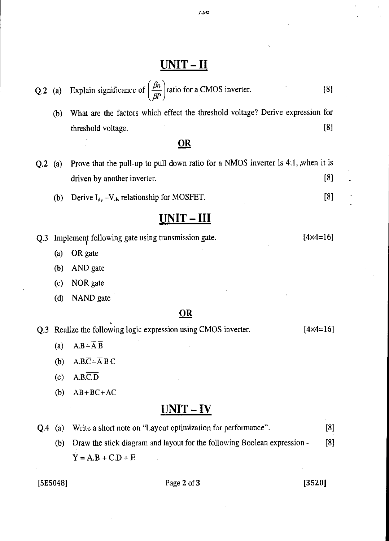## $UNIT - II$

(b) What are the factors which effect the threshold voltage? Derive expression for threshold voltage. [8]

### **OR**

- Q.2 (a) Prove that the pull-up to pull down ratio for a NMOS inverter is  $4:1$ , when it is driven by another inverter. [8]
	- (b) Derive  $I_{ds} - V_{ds}$  relationship for MOSFET. [8]

## UNIT - III

Q.3 Implement following gate using transmission gate. [4x4=16]

- (a) OR gate
- (b) AND gate
- (c) NOR gate
- (d) NAND gate

### **OR**

|  | Q.3 Realize the following logic expression using CMOS inverter. | $[4 \times 4 = 16]$ |
|--|-----------------------------------------------------------------|---------------------|
|--|-----------------------------------------------------------------|---------------------|

- (a)  $A.B+\overline{A} \ \overline{B}$
- (b)  $A.B.\overline{C} + \overline{A} B C$
- $(c)$  A.B.C.D
- (b)  $AB+BC+AC$

## UNIT-IV

Q.4 (a) Write a short note on "Layout optimization for performance". [8] (b) Draw the stick diagram and layout for the following Boolean expression - [8]  $Y = A.B + C.D + E$ 

### $[3520]$  Page 2 of 3 [3520]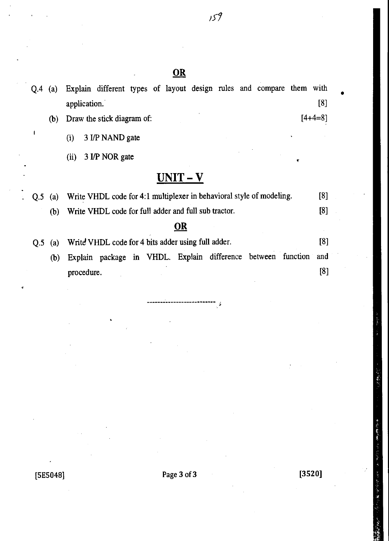Q.4 (a) Explain different types of layout design rules and compare them with

|     |     | application.                                                         | [8]       |
|-----|-----|----------------------------------------------------------------------|-----------|
|     | (b) | Draw the stick diagram of:                                           | $[4+4=8]$ |
|     |     | 3 I/P NAND gate<br>(i)                                               |           |
|     |     | 3 I/P NOR gate<br>(ii)<br>۳                                          |           |
|     |     | UNIT – V                                                             |           |
| Q.5 | (a) | Write VHDL code for 4:1 multiplexer in behavioral style of modeling. | [8]       |
|     | (b) | Write VHDL code for full adder and full sub tractor.                 | [8]       |
|     |     | OR                                                                   |           |
| Q.5 | (a) | Write VHDL code for 4 bits adder using full adder.                   | [8]       |
|     | (b) | Explain package in VHDL. Explain difference between function         | and       |
|     |     | procedure.                                                           | [8]       |

 $[5E5048]$  Page 3 of 3 [3520]

医原子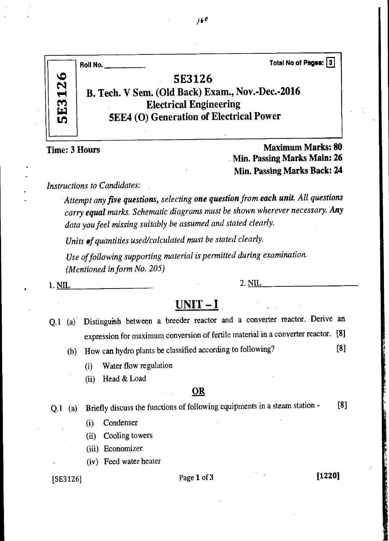|               | Total No of Pages: 3<br>Roll No.                 |
|---------------|--------------------------------------------------|
| <b>5E3126</b> | <b>5E3126</b>                                    |
|               | B. Tech. V Sem. (Old Back) Exam., Nov.-Dec.-2016 |
|               | <b>Electrical Engineering</b>                    |
|               | <b>5EE4 (O) Generation of Electrical Power</b>   |
|               |                                                  |

Time: 3 Hours Maximum Marks: 80 Min. Passing Marks Main: 26 Min. Passing Marks Back: 24

*Instructions to Candidates:* 

*Attempt any five questions, selecting one question from each unit. All questions carry equal marks. Schematic diagrams must be shown wherever necessary. Any data you feel missing suitably be assumed and stated clearly.* 

*Units of quantities used/calculated must be stated clearly.* 

*Use of following supporting material is permitted during examination. (Mentioned in form No. 205)* 

1. NIL 2. NIL 2.  $\overline{\text{NIL}}$ 

## **UNIT - I**

- Q.1 (a) Distinguish between a breeder reactor and a converter reactor. Derive an expression for maximum conversion of fertile material in a converter reactor. [8]
	- (b) How can hydro plants be classified according to following? [8]
		- (i) Water flow regulation
		- (ii) Head & Load

### **OR**

Q.1 (a) Briefly discuss the functions of following equipments in a steam station - [8]

- (i) Condenser
- (ii) Cooling towers
- (iii) Economizer
- (iv) Feed water heater

## $[5E3126]$  Page 1 of 3 **[1220]**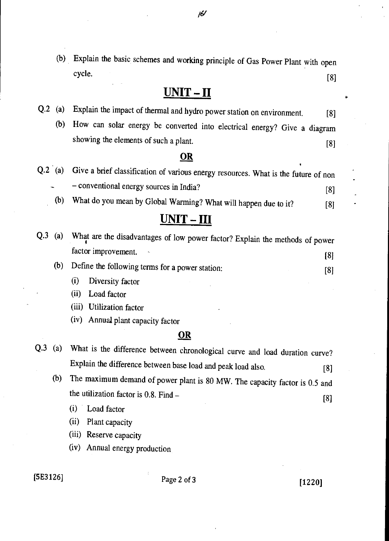(b) Explain the basic schemes and working principle of Gas Power Plant with open cycle. [8]

*/6*<sup>1</sup>

## **UNIT - II**

- Q.2 (a) Explain the impact of thermal and hydro power station on environment. [8]
	- (b) How can solar energy be converted into electrical energy? Give a diagram showing the elements of such a plant. [8]

### **OR**

Q.2 (a) Give a brief classification of various energy resources. What is the future of non — conventional energy sources in India? [8] (b) What do you mean by Global Warming? What will happen due to it? [8]

## **UNIT - III**

| Q.3 | (a) | What are the disadvantages of low power factor? Explain the methods of power |     |
|-----|-----|------------------------------------------------------------------------------|-----|
|     |     | factor improvement.                                                          | [8] |
|     | (b) | Define the following terms for a power station:                              | [8] |
|     |     | Diversity factor<br>$\bf(1)$                                                 |     |

(ii) Load factor

(iii) Utilization factor

(iv) Annual plant capacity factor

### **OR**

- Q.3 (a) What is the difference between chronological curve and load duration curve? Explain the difference between base load and peak load also. [8]
	- (b) The maximum demand of power plant is 80 MW. The capacity factor is 0.5 and the utilization factor is  $0.8$ . Find  $-$  [8]

(i) Load factor

(ii) Plant capacity

(iii) Reserve capacity

(iv) Annual energy production

 $[5E3126]$  Page 2 of 3 [1220]

•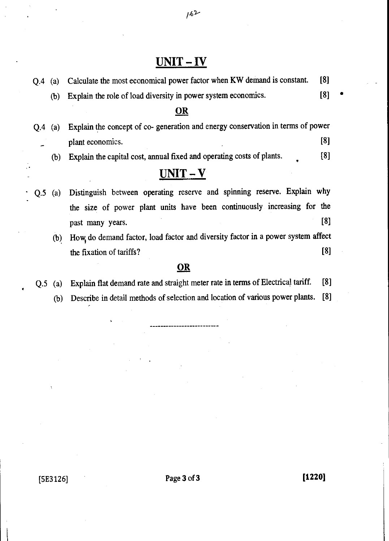## UNIT-IV

|     | $Q.4$ (a) | Calculate the most economical power factor when KW demand is constant.          | [8] |  |
|-----|-----------|---------------------------------------------------------------------------------|-----|--|
|     | (b)       | Explain the role of load diversity in power system economics.                   | [8] |  |
|     |           | <u>OR</u>                                                                       |     |  |
| O.4 | (a)       | Explain the concept of co- generation and energy conservation in terms of power |     |  |
|     |           | plant economics.                                                                | [8] |  |
|     | (b)       | Explain the capital cost, annual fixed and operating costs of plants.           | [8] |  |
|     |           | $UNIT-V$                                                                        |     |  |
| Q.5 | (a)       | Distinguish between operating reserve and spinning reserve. Explain why         |     |  |
|     |           | the size of power plant units have been continuously increasing for the         |     |  |
|     |           | past many years.                                                                | [8] |  |
|     | (b)       | How do demand factor, load factor and diversity factor in a power system affect |     |  |
|     |           | the fixation of tariffs?                                                        | [8] |  |

### **OR**

- Q.5 (a) Explain flat demand rate and straight meter rate in terms of Electrical tariff. [8]
	- (b) Describe in detail methods of selection and location of various power plants. [8]

 $162$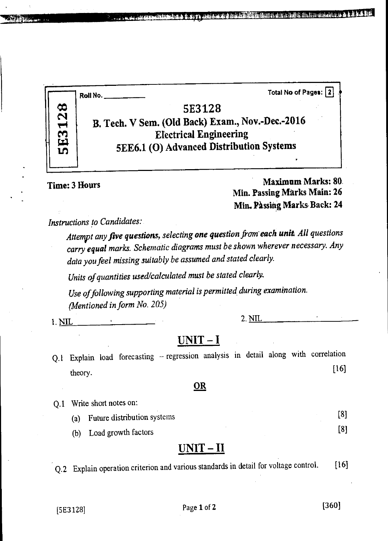a ai a in in 1919. Bha dhun ai chuidheadh an tha an cho a' an chomh-ainm an chomh-ai

 $\boldsymbol{\tilde{\mathsf{N}}}$ **en to** 

**AMAD AREA** 

**5E3128 B. Tech. V Sem. (Old Back) Exam., Nov.-Dec.-2016 Electrical Engineering 5EE6.1 (0) Advanced Distribution Systems** 

**Roll No. Total No of Pages: 13** 

## **Time: 3 Hours Maximum Marks: 80**. **Min. Passing Marks Main: 26 Min. Passing Marks-Back: 24**

## *Instructions to Candidates:*

*Attempt any five questions, selecting one question from each unit All questions carry equal marks. Schematic diagrams must be shown wherever necessary. Any data you feel missing suitably be assumed and stated clearly.* 

*Units of quantities used/calculated must be stated clearly.* 

*Use of following supporting material is permitted during examination. (Mentioned in form No. 205)* 

*1.* NIL 2. NIL

## **UNIT — I**

Q.1 Explain load forecasting — regression analysis in detail along with correlation  $[16]$ 

### **OR**

- Q.1 Write short notes on:
	- (a) Future distribution systems [8]

(b) Load growth factors [8]

## **UNIT—II**

Q.2 Explain operation criterion and various standards in detail for voltage control. [16]